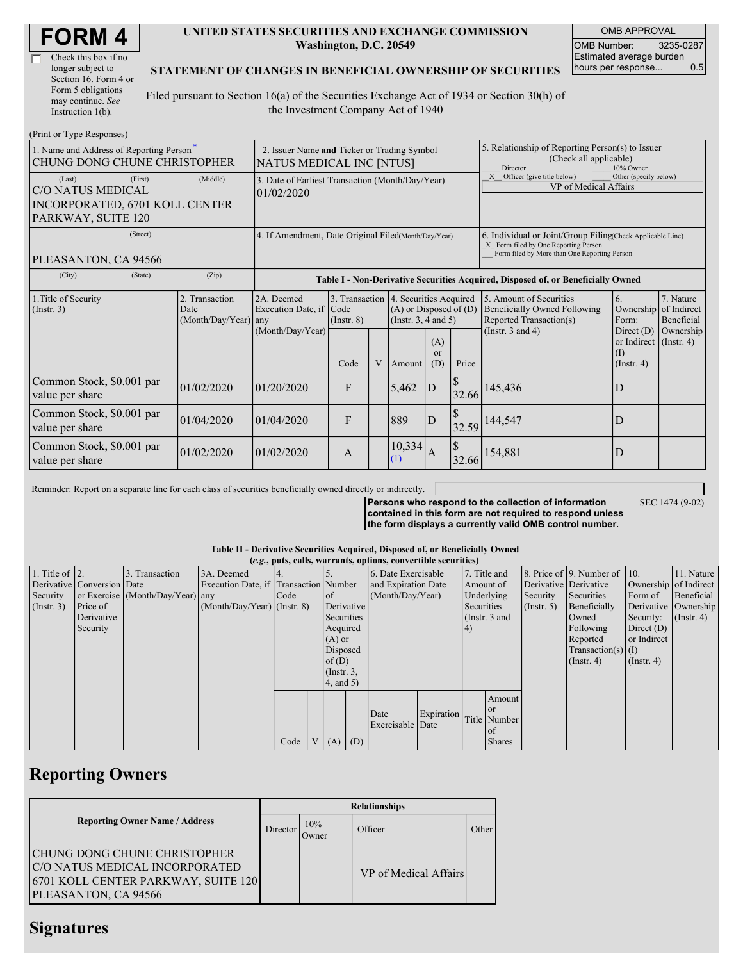| <b>FORM4</b> |
|--------------|
|--------------|

| Check this box if no  |
|-----------------------|
| longer subject to     |
| Section 16. Form 4 or |
| Form 5 obligations    |
| may continue. See     |
| Instruction $1(b)$ .  |

#### **UNITED STATES SECURITIES AND EXCHANGE COMMISSION Washington, D.C. 20549**

OMB APPROVAL OMB Number: 3235-0287 Estimated average burden hours per response... 0.5

SEC 1474 (9-02)

### **STATEMENT OF CHANGES IN BENEFICIAL OWNERSHIP OF SECURITIES**

Filed pursuant to Section 16(a) of the Securities Exchange Act of 1934 or Section 30(h) of the Investment Company Act of 1940

| (Print or Type Responses)                                                |                                                                         |                                                                |                                                                                  |                 |   |                                                                                                     |                                                                                                                                                    |                                                                              |                                                                                           |                                                                         |                                                  |
|--------------------------------------------------------------------------|-------------------------------------------------------------------------|----------------------------------------------------------------|----------------------------------------------------------------------------------|-----------------|---|-----------------------------------------------------------------------------------------------------|----------------------------------------------------------------------------------------------------------------------------------------------------|------------------------------------------------------------------------------|-------------------------------------------------------------------------------------------|-------------------------------------------------------------------------|--------------------------------------------------|
| 1. Name and Address of Reporting Person-<br>CHUNG DONG CHUNE CHRISTOPHER | 2. Issuer Name and Ticker or Trading Symbol<br>NATUS MEDICAL INC [NTUS] |                                                                |                                                                                  |                 |   | 5. Relationship of Reporting Person(s) to Issuer<br>(Check all applicable)<br>Director<br>10% Owner |                                                                                                                                                    |                                                                              |                                                                                           |                                                                         |                                                  |
| (Last)<br>C/O NATUS MEDICAL                                              | (First)                                                                 | 3. Date of Earliest Transaction (Month/Day/Year)<br>01/02/2020 |                                                                                  |                 |   |                                                                                                     |                                                                                                                                                    | Officer (give title below)<br>Other (specify below)<br>VP of Medical Affairs |                                                                                           |                                                                         |                                                  |
| INCORPORATED, 6701 KOLL CENTER<br>PARKWAY, SUITE 120                     |                                                                         |                                                                |                                                                                  |                 |   |                                                                                                     |                                                                                                                                                    |                                                                              |                                                                                           |                                                                         |                                                  |
| PLEASANTON, CA 94566                                                     | 4. If Amendment, Date Original Filed Month/Day/Year)                    |                                                                |                                                                                  |                 |   |                                                                                                     | 6. Individual or Joint/Group Filing(Check Applicable Line)<br>X Form filed by One Reporting Person<br>Form filed by More than One Reporting Person |                                                                              |                                                                                           |                                                                         |                                                  |
| (City)                                                                   | (State)                                                                 | (Zip)                                                          | Table I - Non-Derivative Securities Acquired, Disposed of, or Beneficially Owned |                 |   |                                                                                                     |                                                                                                                                                    |                                                                              |                                                                                           |                                                                         |                                                  |
| 1. Title of Security<br>(Insert. 3)                                      |                                                                         | 2. Transaction<br>Date<br>(Month/Day/Year) any                 | 2A. Deemed<br>Execution Date, if Code                                            | $($ Instr. $8)$ |   | 3. Transaction 4. Securities Acquired<br>$(A)$ or Disposed of $(D)$<br>(Instr. $3, 4$ and $5$ )     |                                                                                                                                                    |                                                                              | 5. Amount of Securities<br><b>Beneficially Owned Following</b><br>Reported Transaction(s) | 6.<br>Form:                                                             | 7. Nature<br>Ownership of Indirect<br>Beneficial |
|                                                                          |                                                                         |                                                                | (Month/Day/Year)                                                                 | Code            | V | Amount                                                                                              | (A)<br>$\alpha$<br>(D)                                                                                                                             | Price                                                                        | (Instr. $3$ and $4$ )                                                                     | Direct $(D)$<br>or Indirect (Instr. 4)<br>$\rm (1)$<br>$($ Instr. 4 $)$ | Ownership                                        |
| Common Stock, \$0.001 par<br>value per share                             |                                                                         | 01/02/2020                                                     | 01/20/2020                                                                       | F               |   | 5,462                                                                                               | D                                                                                                                                                  | \$<br>32.66                                                                  | 145,436                                                                                   | D                                                                       |                                                  |
| Common Stock, \$0.001 par<br>value per share                             |                                                                         | 01/04/2020                                                     | 01/04/2020                                                                       | F               |   | 889                                                                                                 | ID                                                                                                                                                 | $\mathcal{S}$<br>32.59                                                       | 144,547                                                                                   | D                                                                       |                                                  |
| Common Stock, \$0.001 par<br>value per share                             |                                                                         | 01/02/2020                                                     | 01/02/2020                                                                       | A               |   | 10,334<br>$\Omega$                                                                                  | А                                                                                                                                                  | S<br>32.66                                                                   | 154,881                                                                                   | D                                                                       |                                                  |

Reminder: Report on a separate line for each class of securities beneficially owned directly or indirectly.

**Persons who respond to the collection of information contained in this form are not required to respond unless the form displays a currently valid OMB control number.**

#### **Table II - Derivative Securities Acquired, Disposed of, or Beneficially Owned**

|                        | (e.g., puts, calls, warrants, options, convertible securities) |                                  |                                       |      |                |                     |                  |                     |            |                                |               |                       |                          |                       |               |
|------------------------|----------------------------------------------------------------|----------------------------------|---------------------------------------|------|----------------|---------------------|------------------|---------------------|------------|--------------------------------|---------------|-----------------------|--------------------------|-----------------------|---------------|
| 1. Title of $\vert$ 2. |                                                                | 3. Transaction                   | 3A. Deemed                            |      |                |                     |                  | 6. Date Exercisable |            |                                | 7. Title and  |                       | 8. Price of 9. Number of | 10.                   | 11. Nature    |
|                        | Derivative Conversion Date                                     |                                  | Execution Date, if Transaction Number |      |                | and Expiration Date |                  |                     |            | Amount of                      |               | Derivative Derivative |                          | Ownership of Indirect |               |
| Security               |                                                                | or Exercise (Month/Day/Year) any |                                       | Code |                | of                  | (Month/Day/Year) |                     |            |                                | Underlying    | Security              | Securities               | Form of               | Beneficial    |
| $($ Instr. 3 $)$       | Price of                                                       |                                  | $(Month/Day/Year)$ (Instr. 8)         |      |                |                     | Derivative       |                     |            | Securities<br>$($ Instr. 5 $)$ |               | Beneficially          | Derivative Ownership     |                       |               |
|                        | Derivative                                                     |                                  |                                       |      |                | Securities          |                  |                     |            |                                | (Instr. 3 and |                       | Owned                    | Security:             | $($ Instr. 4) |
|                        | Security                                                       |                                  |                                       |      |                |                     | Acquired         |                     |            |                                |               |                       | Following                | Direct $(D)$          |               |
|                        |                                                                |                                  |                                       |      |                | $(A)$ or            |                  |                     |            |                                |               |                       | Reported                 | or Indirect           |               |
|                        |                                                                |                                  |                                       |      |                |                     | Disposed         |                     |            |                                |               | $Transaction(s)$ (I)  |                          |                       |               |
|                        |                                                                |                                  |                                       |      |                | of $(D)$            |                  |                     |            |                                |               | $($ Instr. 4 $)$      | $($ Instr. 4)            |                       |               |
|                        |                                                                |                                  |                                       |      |                |                     | $($ Instr. 3,    |                     |            |                                |               |                       |                          |                       |               |
|                        |                                                                |                                  |                                       |      |                | $4$ , and $5$ )     |                  |                     |            |                                |               |                       |                          |                       |               |
|                        |                                                                |                                  |                                       |      |                |                     |                  |                     |            |                                | Amount        |                       |                          |                       |               |
|                        |                                                                |                                  |                                       |      |                |                     |                  |                     |            |                                | <sub>or</sub> |                       |                          |                       |               |
|                        |                                                                |                                  |                                       |      |                |                     |                  | Date                | Expiration |                                | Title Number  |                       |                          |                       |               |
|                        |                                                                |                                  |                                       |      |                |                     |                  | Exercisable Date    |            |                                | of            |                       |                          |                       |               |
|                        |                                                                |                                  |                                       | Code | V <sub>1</sub> | $(A)$ $(D)$         |                  |                     |            |                                | <b>Shares</b> |                       |                          |                       |               |

## **Reporting Owners**

|                                                                                                                                      | <b>Relationships</b> |              |                       |       |  |  |  |  |
|--------------------------------------------------------------------------------------------------------------------------------------|----------------------|--------------|-----------------------|-------|--|--|--|--|
| <b>Reporting Owner Name / Address</b>                                                                                                | Director             | 10%<br>Dwner | Officer               | Other |  |  |  |  |
| <b>CHUNG DONG CHUNE CHRISTOPHER</b><br>C/O NATUS MEDICAL INCORPORATED<br>6701 KOLL CENTER PARKWAY, SUITE 120<br>PLEASANTON, CA 94566 |                      |              | VP of Medical Affairs |       |  |  |  |  |

# **Signatures**